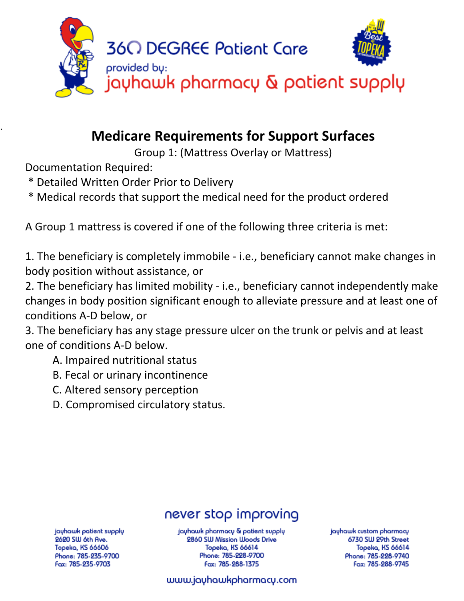

# **Medicare Requirements for Support Surfaces**

Group 1: (Mattress Overlay or Mattress)

Documentation Required:

.

- \* Detailed Written Order Prior to Delivery
- \* Medical records that support the medical need for the product ordered

A Group 1 mattress is covered if one of the following three criteria is met:

1. The beneficiary is completely immobile - i.e., beneficiary cannot make changes in body position without assistance, or

2. The beneficiary has limited mobility - i.e., beneficiary cannot independently make changes in body position significant enough to alleviate pressure and at least one of conditions A-D below, or

3. The beneficiary has any stage pressure ulcer on the trunk or pelvis and at least one of conditions A-D below.

- A. Impaired nutritional status
- B. Fecal or urinary incontinence
- C. Altered sensory perception
- D. Compromised circulatory status.

# never stop improving

jayhawk patient supply 2620 SW 6th Ave. Topeka, KS 66606 Phone: 785-235-9700 Fax: 785-235-9703

jayhawk pharmacy & patient supply 2860 SW Mission Woods Drive Topeka, KS 66614 Phone: 785-228-9700 Fax: 785-288-1375

jayhawk custom pharmacy 6730 SW 29th Street **Topeka, KS 66614** Phone: 785-228-9740 Fax: 785-288-9745

### www.jayhawkpharmacy.com